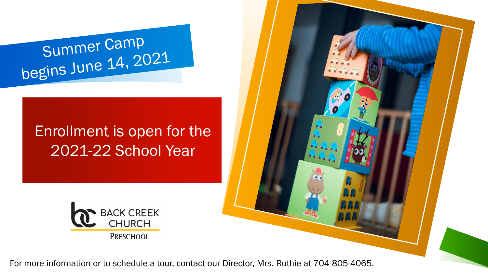## Summer Camp<br>begins June 14, 2021

## Enrollment is open for the 2021-22 School Year



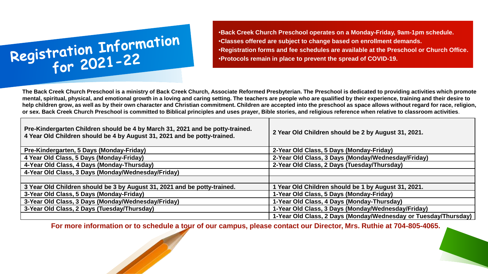

•**Back Creek Church Preschool operates on a Monday-Friday, 9am-1pm schedule.**  •**Classes offered are subject to change based on enrollment demands.** •**Registration forms and fee schedules are available at the Preschool or Church Office.** •**Protocols remain in place to prevent the spread of COVID-19.**

**The Back Creek Church Preschool is a ministry of Back Creek Church, Associate Reformed Presbyterian. The Preschool is dedicated to providing activities which promote mental, spiritual, physical, and emotional growth in a loving and caring setting. The teachers are people who are qualified by their experience, training and their desire to help children grow, as well as by their own character and Christian commitment. Children are accepted into the preschool as space allows without regard for race, religion, or sex. Back Creek Church Preschool is committed to Biblical principles and uses prayer, Bible stories, and religious reference when relative to classroom activities**.

| Pre-Kindergarten Children should be 4 by March 31, 2021 and be potty-trained.<br>4 Year Old Children should be 4 by August 31, 2021 and be potty-trained. | 2 Year Old Children should be 2 by August 31, 2021.             |
|-----------------------------------------------------------------------------------------------------------------------------------------------------------|-----------------------------------------------------------------|
| Pre-Kindergarten, 5 Days (Monday-Friday)                                                                                                                  | 2-Year Old Class, 5 Days (Monday-Friday)                        |
| 4 Year Old Class, 5 Days (Monday-Friday)                                                                                                                  | 2-Year Old Class, 3 Days (Monday/Wednesday/Friday)              |
| 4-Year Old Class, 4 Days (Monday-Thursday)                                                                                                                | 2-Year Old Class, 2 Days (Tuesday/Thursday)                     |
| 4-Year Old Class, 3 Days (Monday/Wednesday/Friday)                                                                                                        |                                                                 |
|                                                                                                                                                           |                                                                 |
| 3 Year Old Children should be 3 by August 31, 2021 and be potty-trained.                                                                                  | Year Old Children should be 1 by August 31, 2021.               |
| 3-Year Old Class, 5 Days (Monday-Friday)                                                                                                                  | 1-Year Old Class, 5 Days (Monday-Friday)                        |
| 3-Year Old Class, 3 Days (Monday/Wednesday/Friday)                                                                                                        | 1-Year Old Class, 4 Days (Monday-Thursday)                      |
| 3-Year Old Class, 2 Days (Tuesday/Thursday)                                                                                                               | 1-Year Old Class, 3 Days (Monday/Wednesday/Friday)              |
|                                                                                                                                                           | 1-Year Old Class, 2 Days (Monday/Wednesday or Tuesday/Thursday) |

**For more information or to schedule a tour of our campus, please contact our Director, Mrs. Ruthie at 704-805-4065.**